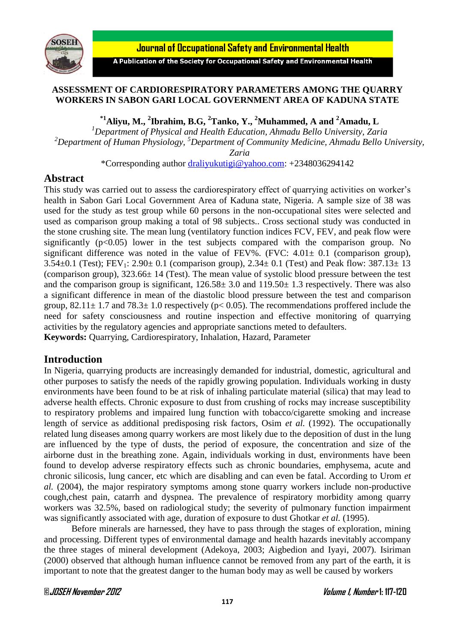

**Journal of Occupational Safety and Environmental Health** 

A Publication of the Society for Occupational Safety and Environmental Health

#### **ASSESSMENT OF CARDIORESPIRATORY PARAMETERS AMONG THE QUARRY WORKERS IN SABON GARI LOCAL GOVERNMENT AREA OF KADUNA STATE**

**\*1Aliyu, M., <sup>2</sup> Ibrahim, B.G, <sup>2</sup>Tanko, Y., <sup>2</sup>Muhammed, A and <sup>2</sup>Amadu, L**

*<sup>1</sup>Department of Physical and Health Education, Ahmadu Bello University, Zaria <sup>2</sup>Department of Human Physiology, <sup>5</sup>Department of Community Medicine, Ahmadu Bello University,* 

*Zaria*

\*Corresponding author [draliyukutigi@yahoo.com:](mailto:draliyukutigi@yahoo.com) +2348036294142

# **Abstract**

This study was carried out to assess the cardiorespiratory effect of quarrying activities on worker's health in Sabon Gari Local Government Area of Kaduna state, Nigeria. A sample size of 38 was used for the study as test group while 60 persons in the non-occupational sites were selected and used as comparison group making a total of 98 subjects.. Cross sectional study was conducted in the stone crushing site. The mean lung (ventilatory function indices FCV, FEV, and peak flow were significantly  $(p<0.05)$  lower in the test subjects compared with the comparison group. No significant difference was noted in the value of FEV%. (FVC:  $4.01 \pm 0.1$  (comparison group), 3.54 $\pm$ 0.1 (Test); FEV<sub>1</sub>: 2.90 $\pm$  0.1 (comparison group), 2.34 $\pm$  0.1 (Test) and Peak flow: 387.13 $\pm$  13 (comparison group),  $323.66 \pm 14$  (Test). The mean value of systolic blood pressure between the test and the comparison group is significant,  $126.58 \pm 3.0$  and  $119.50 \pm 1.3$  respectively. There was also a significant difference in mean of the diastolic blood pressure between the test and comparison group,  $82.11 \pm 1.7$  and  $78.3 \pm 1.0$  respectively ( $p < 0.05$ ). The recommendations proffered include the need for safety consciousness and routine inspection and effective monitoring of quarrying activities by the regulatory agencies and appropriate sanctions meted to defaulters. **Keywords:** Quarrying, Cardiorespiratory, Inhalation, Hazard, Parameter

# **Introduction**

In Nigeria, quarrying products are increasingly demanded for industrial, domestic, agricultural and other purposes to satisfy the needs of the rapidly growing population. Individuals working in dusty environments have been found to be at risk of inhaling particulate material (silica) that may lead to adverse health effects. Chronic exposure to dust from crushing of rocks may increase susceptibility to respiratory problems and impaired lung function with tobacco/cigarette smoking and increase length of service as additional predisposing risk factors, Osim *et al.* (1992). The occupationally related lung diseases among quarry workers are most likely due to the deposition of dust in the lung are influenced by the type of dusts, the period of exposure, the concentration and size of the airborne dust in the breathing zone. Again, individuals working in dust, environments have been found to develop adverse respiratory effects such as chronic boundaries, emphysema, acute and chronic silicosis, lung cancer, etc which are disabling and can even be fatal. According to Urom *et al.* (2004), the major respiratory symptoms among stone quarry workers include non-productive cough,chest pain, catarrh and dyspnea. The prevalence of respiratory morbidity among quarry workers was 32.5%, based on radiological study; the severity of pulmonary function impairment was significantly associated with age, duration of exposure to dust Ghotkar *et al.* (1995).

Before minerals are harnessed, they have to pass through the stages of exploration, mining and processing. Different types of environmental damage and health hazards inevitably accompany the three stages of mineral development (Adekoya, 2003; Aigbedion and Iyayi, 2007). Isiriman (2000) observed that although human influence cannot be removed from any part of the earth, it is important to note that the greatest danger to the human body may as well be caused by workers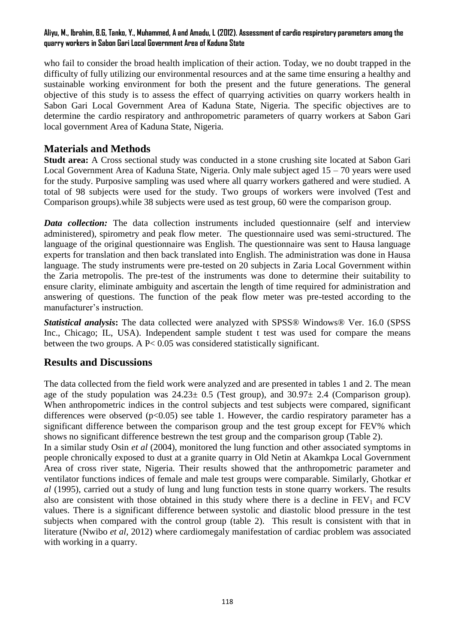#### **Aliyu, M., Ibrahim, B.G, Tanko, Y., Muhammed, A and Amadu, L (2012). Assessment of cardio respiratory parameters among the quarry workers in Sabon Gari Local Government Area of Kaduna State**

who fail to consider the broad health implication of their action. Today, we no doubt trapped in the difficulty of fully utilizing our environmental resources and at the same time ensuring a healthy and sustainable working environment for both the present and the future generations. The general objective of this study is to assess the effect of quarrying activities on quarry workers health in Sabon Gari Local Government Area of Kaduna State, Nigeria. The specific objectives are to determine the cardio respiratory and anthropometric parameters of quarry workers at Sabon Gari local government Area of Kaduna State, Nigeria.

# **Materials and Methods**

**Studt area:** A Cross sectional study was conducted in a stone crushing site located at Sabon Gari Local Government Area of Kaduna State, Nigeria. Only male subject aged 15 – 70 years were used for the study. Purposive sampling was used where all quarry workers gathered and were studied. A total of 98 subjects were used for the study. Two groups of workers were involved (Test and Comparison groups).while 38 subjects were used as test group, 60 were the comparison group.

*Data collection:* The data collection instruments included questionnaire (self and interview administered), spirometry and peak flow meter. The questionnaire used was semi-structured. The language of the original questionnaire was English. The questionnaire was sent to Hausa language experts for translation and then back translated into English. The administration was done in Hausa language. The study instruments were pre-tested on 20 subjects in Zaria Local Government within the Zaria metropolis. The pre-test of the instruments was done to determine their suitability to ensure clarity, eliminate ambiguity and ascertain the length of time required for administration and answering of questions. The function of the peak flow meter was pre-tested according to the manufacturer's instruction.

*Statistical analysis***:** The data collected were analyzed with SPSS® Windows® Ver. 16.0 (SPSS Inc., Chicago; IL, USA). Independent sample student t test was used for compare the means between the two groups. A P< 0.05 was considered statistically significant.

# **Results and Discussions**

The data collected from the field work were analyzed and are presented in tables 1 and 2. The mean age of the study population was  $24.23 \pm 0.5$  (Test group), and  $30.97 \pm 2.4$  (Comparison group). When anthropometric indices in the control subjects and test subjects were compared, significant differences were observed  $(p<0.05)$  see table 1. However, the cardio respiratory parameter has a significant difference between the comparison group and the test group except for FEV% which shows no significant difference bestrewn the test group and the comparison group (Table 2).

In a similar study Osin *et al* (2004), monitored the lung function and other associated symptoms in people chronically exposed to dust at a granite quarry in Old Netin at Akamkpa Local Government Area of cross river state, Nigeria. Their results showed that the anthropometric parameter and ventilator functions indices of female and male test groups were comparable. Similarly, Ghotkar *et al* (1995), carried out a study of lung and lung function tests in stone quarry workers. The results also are consistent with those obtained in this study where there is a decline in  $FEV<sub>1</sub>$  and  $FCV$ values. There is a significant difference between systolic and diastolic blood pressure in the test subjects when compared with the control group (table 2). This result is consistent with that in literature (Nwibo *et al,* 2012) where cardiomegaly manifestation of cardiac problem was associated with working in a quarry.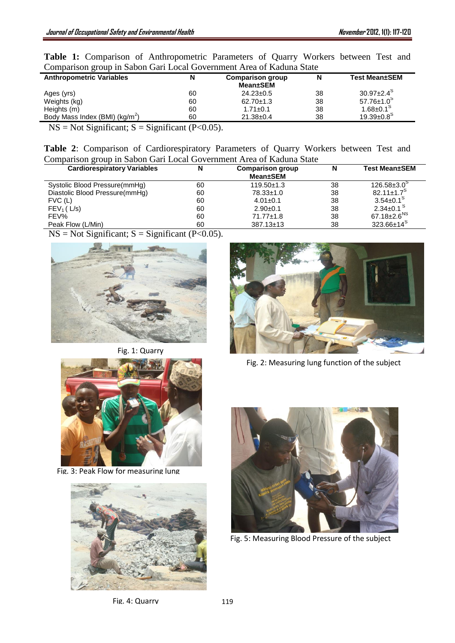|  |  | Table 1: Comparison of Anthropometric Parameters of Quarry Workers between Test and |  |  |  |  |
|--|--|-------------------------------------------------------------------------------------|--|--|--|--|
|  |  | Comparison group in Sabon Gari Local Government Area of Kaduna State                |  |  |  |  |

| <b>Anthropometric Variables</b>            | N  | <b>Comparison group</b><br>Mean±SEM | N  | <b>Test Mean±SEM</b>         |
|--------------------------------------------|----|-------------------------------------|----|------------------------------|
| Ages (yrs)                                 | 60 | $24.23 \pm 0.5$                     | 38 | $30.97 \pm 2.4^{\circ}$      |
| Weights (kg)                               | 60 | $62.70 \pm 1.3$                     | 38 | $57.76 \pm 1.0^5$            |
| Heights (m)                                | 60 | $1.71 \pm 0.1$                      | 38 | $1.68 \pm 0.1$ <sup>S</sup>  |
| Body Mass Index (BMI) (kg/m <sup>2</sup> ) | 60 | $21.38 \pm 0.4$                     | 38 | $19.39 \pm 0.8$ <sup>S</sup> |
|                                            |    |                                     |    |                              |

 $NS = Not Significant; S = Significant (P<0.05).$ 

|  |  | Table 2: Comparison of Cardiorespiratory Parameters of Quarry Workers between Test and |  |  |  |  |
|--|--|----------------------------------------------------------------------------------------|--|--|--|--|
|  |  | Comparison group in Sabon Gari Local Government Area of Kaduna State                   |  |  |  |  |

| <b>Cardiorespiratory Variables</b> | N  | <b>Comparison group</b><br>Mean±SEM | N  | <b>Test Mean±SEM</b>          |
|------------------------------------|----|-------------------------------------|----|-------------------------------|
| Systolic Blood Pressure(mmHg)      | 60 | $119.50 \pm 1.3$                    | 38 | $126.58 \pm 3.0^{\circ}$      |
| Diastolic Blood Pressure(mmHg)     | 60 | $78.33 \pm 1.0$                     | 38 | $82.11 \pm 1.7$ <sup>S</sup>  |
| $FVC$ (L)                          | 60 | $4.01 \pm 0.1$                      | 38 | $3.54 \pm 0.1$ <sup>S</sup>   |
| $FEV1$ (L/s)                       | 60 | $2.90+0.1$                          | 38 | $2.34 \pm 0.1$ <sup>S</sup>   |
| FEV%                               | 60 | $71.77 \pm 1.8$                     | 38 | 67.18 $\pm$ 2.6 <sup>NS</sup> |
| Peak Flow (L/Min)                  | 60 | $387.13 \pm 13$                     | 38 | $323.66 \pm 14^5$             |

 $NS = Not Significant; S = Significant (P<0.05).$ 



Fig. 1: Quarry



Fig. 3: Peak Flow for measuring lung





Fig. 2: Measuring lung function of the subject



Fig. 5: Measuring Blood Pressure of the subject